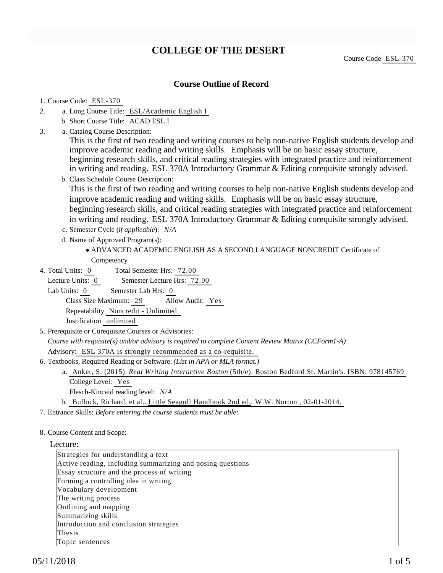# **COLLEGE OF THE DESERT**

## **Course Outline of Record**

#### 1. Course Code: ESL-370

- a. Long Course Title: ESL/Academic English I 2.
	- b. Short Course Title: ACAD ESL I
- Catalog Course Description: a. 3.

This is the first of two reading and writing courses to help non-native English students develop and improve academic reading and writing skills. Emphasis will be on basic essay structure, beginning research skills, and critical reading strategies with integrated practice and reinforcement in writing and reading. ESL 370A Introductory Grammar & Editing corequisite strongly advised.

- b. Class Schedule Course Description:
	- This is the first of two reading and writing courses to help non-native English students develop and improve academic reading and writing skills. Emphasis will be on basic essay structure, beginning research skills, and critical reading strategies with integrated practice and reinforcement in writing and reading. ESL 370A Introductory Grammar & Editing corequisite strongly advised.
- c. Semester Cycle (*if applicable*): *N/A*
- d. Name of Approved Program(s):
	- ADVANCED ACADEMIC ENGLISH AS A SECOND LANGUAGE NONCREDIT Certificate of Competency
- Total Semester Hrs: 72.00 4. Total Units: 0

Lecture Units: 0 Semester Lecture Hrs: 72.00

Lab Units: 0 Semester Lab Hrs: 0

Class Size Maximum: 29 Allow Audit: Yes

Repeatability Noncredit - Unlimited

Justification unlimited

5. Prerequisite or Corequisite Courses or Advisories:

*Course with requisite(s) and/or advisory is required to complete Content Review Matrix (CCForm1-A)*

Advisory: ESL 370A is strongly recommended as a co-requisite.

- 6. Textbooks, Required Reading or Software: (List in APA or MLA format.)
	- a. Anker, S. (2015). *Real Writing Interactive Boston* (5th/e). Boston Bedford St. Martin's. ISBN: 978145769 College Level: Yes
		- Flesch-Kincaid reading level: *N/A*
	- b. Bullock, Richard, et al.. Little Seagull Handbook 2nd ed.. W.W. Norton, 02-01-2014.

7. Entrance Skills: *Before entering the course students must be able:*

8. Course Content and Scope:

#### Lecture:

Strategies for understanding a text Active reading, including summarizing and posing questions Essay structure and the process of writing Forming a controlling idea in writing Vocabulary development The writing process Outlining and mapping Summarizing skills Introduction and conclusion strategies Thesis Topic sentences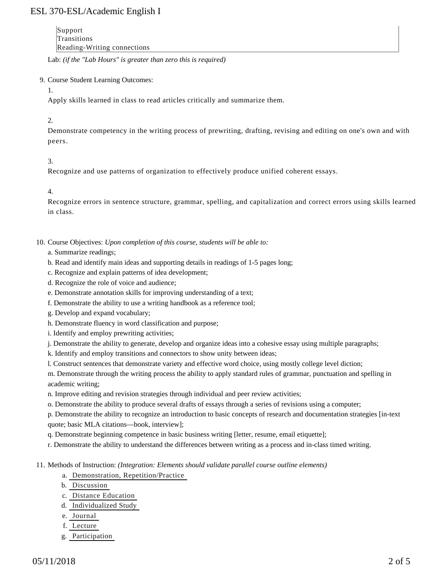# ESL 370-ESL/Academic English I

Support Transitions Reading-Writing connections

Lab: *(if the "Lab Hours" is greater than zero this is required)*

### 9. Course Student Learning Outcomes:

1.

Apply skills learned in class to read articles critically and summarize them.

### 2.

Demonstrate competency in the writing process of prewriting, drafting, revising and editing on one's own and with peers.

### 3.

Recognize and use patterns of organization to effectively produce unified coherent essays.

4.

Recognize errors in sentence structure, grammar, spelling, and capitalization and correct errors using skills learned in class.

10. Course Objectives: Upon completion of this course, students will be able to:

### a. Summarize readings;

- b. Read and identify main ideas and supporting details in readings of 1-5 pages long;
- c. Recognize and explain patterns of idea development;
- d. Recognize the role of voice and audience;
- e. Demonstrate annotation skills for improving understanding of a text;
- f. Demonstrate the ability to use a writing handbook as a reference tool;
- g. Develop and expand vocabulary;
- h. Demonstrate fluency in word classification and purpose;
- i. Identify and employ prewriting activities;
- j. Demonstrate the ability to generate, develop and organize ideas into a cohesive essay using multiple paragraphs;
- k. Identify and employ transitions and connectors to show unity between ideas;
- l. Construct sentences that demonstrate variety and effective word choice, using mostly college level diction;

m. Demonstrate through the writing process the ability to apply standard rules of grammar, punctuation and spelling in academic writing;

n. Improve editing and revision strategies through individual and peer review activities;

o. Demonstrate the ability to produce several drafts of essays through a series of revisions using a computer;

p. Demonstrate the ability to recognize an introduction to basic concepts of research and documentation strategies [in-text quote; basic MLA citations—book, interview];

- q. Demonstrate beginning competence in basic business writing [letter, resume, email etiquette];
- r. Demonstrate the ability to understand the differences between writing as a process and in-class timed writing.
- 11. Methods of Instruction: *(Integration: Elements should validate parallel course outline elements)* 
	- a. Demonstration, Repetition/Practice
	- b. Discussion
	- c. Distance Education
	- d. Individualized Study
	- e. Journal
	- f. Lecture
	- g. Participation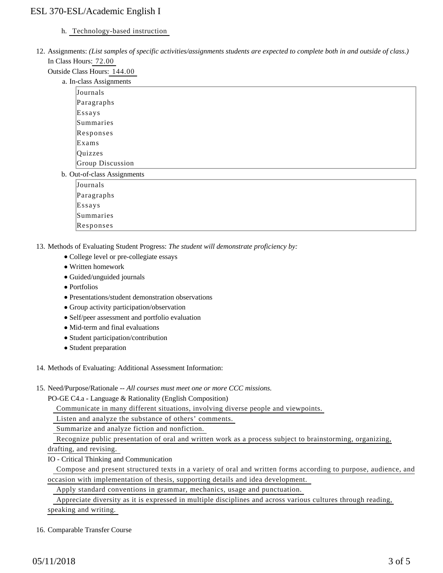# ESL 370-ESL/Academic English I

### h. Technology-based instruction

12. Assignments: (List samples of specific activities/assignments students are expected to complete both in and outside of class.) In Class Hours: 72.00

Outside Class Hours: 144.00

|                             | a. In-class Assignments |  |  |  |
|-----------------------------|-------------------------|--|--|--|
|                             | Journals                |  |  |  |
|                             | Paragraphs              |  |  |  |
|                             | Essays                  |  |  |  |
|                             | Summaries               |  |  |  |
|                             | Responses               |  |  |  |
|                             | Exams                   |  |  |  |
|                             | Quizzes                 |  |  |  |
|                             | Group Discussion        |  |  |  |
| b. Out-of-class Assignments |                         |  |  |  |
|                             | Journals                |  |  |  |
|                             | Paragraphs              |  |  |  |
|                             | Essays                  |  |  |  |
|                             | Summaries               |  |  |  |
|                             | Responses               |  |  |  |

13. Methods of Evaluating Student Progress: The student will demonstrate proficiency by:

- College level or pre-collegiate essays
- Written homework
- Guided/unguided journals
- Portfolios
- Presentations/student demonstration observations
- Group activity participation/observation
- Self/peer assessment and portfolio evaluation
- Mid-term and final evaluations
- Student participation/contribution
- Student preparation

14. Methods of Evaluating: Additional Assessment Information:

15. Need/Purpose/Rationale -- All courses must meet one or more CCC missions.

PO-GE C4.a - Language & Rationality (English Composition)

Communicate in many different situations, involving diverse people and viewpoints.

Listen and analyze the substance of others' comments.

Summarize and analyze fiction and nonfiction.

Recognize public presentation of oral and written work as a process subject to brainstorming, organizing,

drafting, and revising.

IO - Critical Thinking and Communication

 Compose and present structured texts in a variety of oral and written forms according to purpose, audience, and occasion with implementation of thesis, supporting details and idea development.

Apply standard conventions in grammar, mechanics, usage and punctuation.

Appreciate diversity as it is expressed in multiple disciplines and across various cultures through reading,

speaking and writing.

#### 16. Comparable Transfer Course